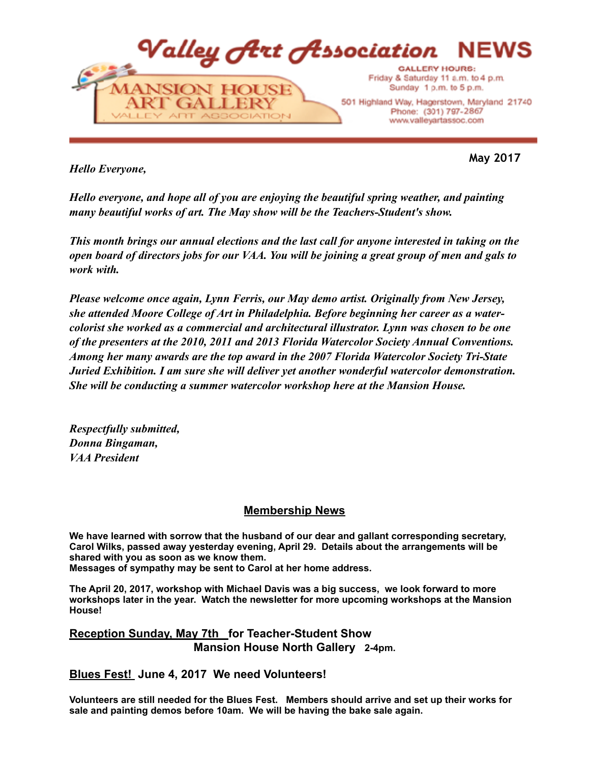

**May 2017**

*Hello Everyone,* 

*Hello everyone, and hope all of you are enjoying the beautiful spring weather, and painting many beautiful works of art. The May show will be the Teachers-Student's show.* 

*This month brings our annual elections and the last call for anyone interested in taking on the open board of directors jobs for our VAA. You will be joining a great group of men and gals to work with.* 

*Please welcome once again, Lynn Ferris, our May demo artist. Originally from New Jersey, she attended Moore College of Art in Philadelphia. Before beginning her career as a watercolorist she worked as a commercial and architectural illustrator. Lynn was chosen to be one of the presenters at the 2010, 2011 and 2013 Florida Watercolor Society Annual Conventions. Among her many awards are the top award in the 2007 Florida Watercolor Society Tri-State Juried Exhibition. I am sure she will deliver yet another wonderful watercolor demonstration. She will be conducting a summer watercolor workshop here at the Mansion House.* 

*Respectfully submitted, Donna Bingaman, VAA President* 

# **Membership News**

**We have learned with sorrow that the husband of our dear and gallant corresponding secretary, Carol Wilks, passed away yesterday evening, April 29. Details about the arrangements will be shared with you as soon as we know them.** 

**Messages of sympathy may be sent to Carol at her home address.** 

**The April 20, 2017, workshop with Michael Davis was a big success, we look forward to more workshops later in the year. Watch the newsletter for more upcoming workshops at the Mansion House!** 

**Reception Sunday, May 7th for Teacher-Student Show Mansion House North Gallery 2-4pm.**

**Blues Fest! June 4, 2017 We need Volunteers!** 

**Volunteers are still needed for the Blues Fest. Members should arrive and set up their works for sale and painting demos before 10am. We will be having the bake sale again.**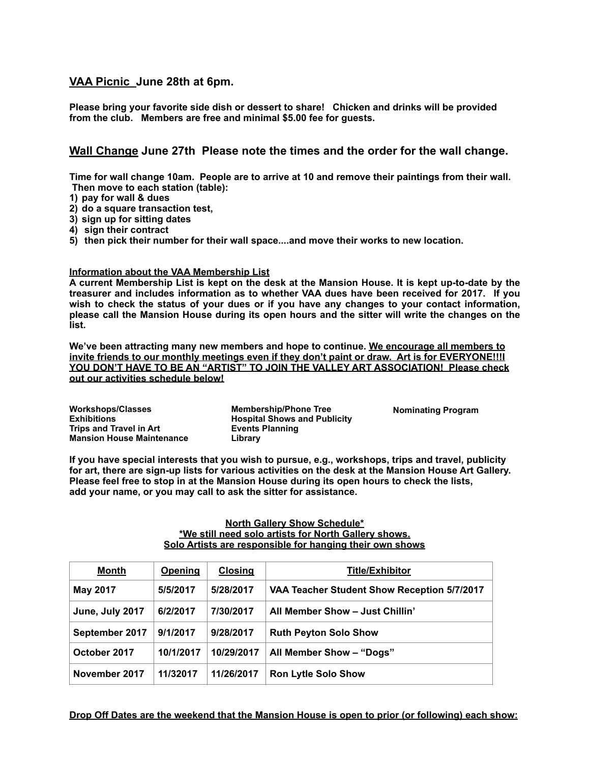# **VAA Picnic June 28th at 6pm.**

**Please bring your favorite side dish or dessert to share! Chicken and drinks will be provided from the club. Members are free and minimal \$5.00 fee for guests.** 

# **Wall Change June 27th Please note the times and the order for the wall change.**

**Time for wall change 10am. People are to arrive at 10 and remove their paintings from their wall. Then move to each station (table):** 

- **1) pay for wall & dues**
- **2) do a square transaction test,**
- **3) sign up for sitting dates**
- **4) sign their contract**
- **5) then pick their number for their wall space....and move their works to new location.**

## **Information about the VAA Membership List**

**A current Membership List is kept on the desk at the Mansion House. It is kept up-to-date by the treasurer and includes information as to whether VAA dues have been received for 2017. If you wish to check the status of your dues or if you have any changes to your contact information, please call the Mansion House during its open hours and the sitter will write the changes on the list.**

**We've been attracting many new members and hope to continue. We encourage all members to invite friends to our monthly meetings even if they don't paint or draw. Art is for EVERYONE!!!! YOU DON'T HAVE TO BE AN "ARTIST" TO JOIN THE VALLEY ART ASSOCIATION! Please check out our activities schedule below!** 

| <b>Workshops/Classes</b>         | <b>Membership/Phone Tree</b>        | <b>Nominating Program</b> |  |
|----------------------------------|-------------------------------------|---------------------------|--|
| <b>Exhibitions</b>               | <b>Hospital Shows and Publicity</b> |                           |  |
| Trips and Travel in Art          | <b>Events Planning</b>              |                           |  |
| <b>Mansion House Maintenance</b> | Library                             |                           |  |

**If you have special interests that you wish to pursue, e.g., workshops, trips and travel, publicity for art, there are sign-up lists for various activities on the desk at the Mansion House Art Gallery. Please feel free to stop in at the Mansion House during its open hours to check the lists, add your name, or you may call to ask the sitter for assistance.** 

### **North Gallery Show Schedule\* \*We still need solo artists for North Gallery shows. Solo Artists are responsible for hanging their own shows**

| Month           | Opening   | Closing    | <b>Title/Exhibitor</b>                      |
|-----------------|-----------|------------|---------------------------------------------|
| <b>May 2017</b> | 5/5/2017  | 5/28/2017  | VAA Teacher Student Show Reception 5/7/2017 |
| June, July 2017 | 6/2/2017  | 7/30/2017  | All Member Show - Just Chillin'             |
| September 2017  | 9/1/2017  | 9/28/2017  | <b>Ruth Peyton Solo Show</b>                |
| October 2017    | 10/1/2017 | 10/29/2017 | All Member Show - "Dogs"                    |
| November 2017   | 11/32017  | 11/26/2017 | <b>Ron Lytle Solo Show</b>                  |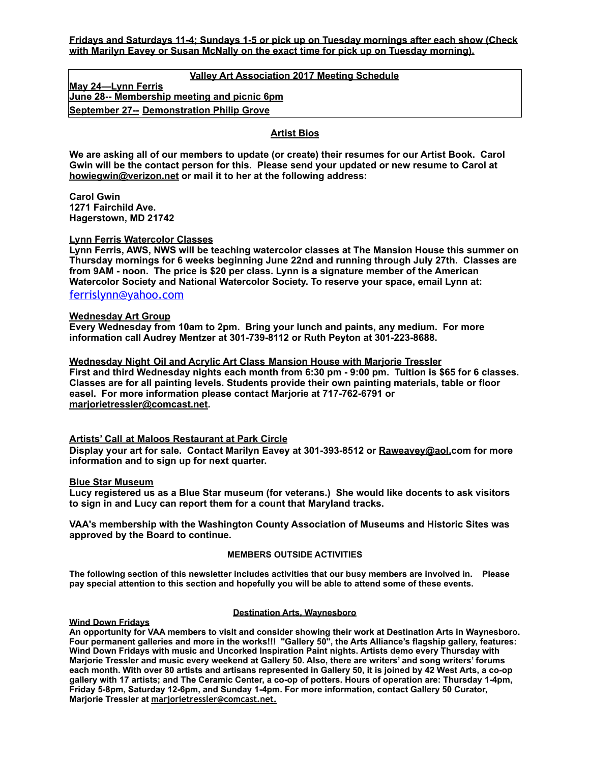## **Valley Art Association 2017 Meeting Schedule**

**May 24—Lynn Ferris June 28-- Membership meeting and picnic 6pm September 27-- Demonstration Philip Grove**

# **Artist Bios**

**We are asking all of our members to update (or create) their resumes for our Artist Book. Carol Gwin will be the contact person for this. Please send your updated or new resume to Carol at howiegwin@verizon.net or mail it to her at the following address:** 

**Carol Gwin 1271 Fairchild Ave. Hagerstown, MD 21742** 

## **Lynn Ferris Watercolor Classes**

**Lynn Ferris, AWS, NWS will be teaching watercolor classes at The Mansion House this summer on Thursday mornings for 6 weeks beginning June 22nd and running through July 27th. Classes are from 9AM - noon. The price is \$20 per class. Lynn is a signature member of the American Watercolor Society and National Watercolor Society. To reserve your space, email Lynn at:**  [ferrislynn@yahoo.com](mailto:ferrislynn@yahoo.com)

## **Wednesday Art Group**

**Every Wednesday from 10am to 2pm. Bring your lunch and paints, any medium. For more information call Audrey Mentzer at 301-739-8112 or Ruth Peyton at 301-223-8688.** 

## **Wednesday Night Oil and Acrylic Art Class Mansion House with Marjorie Tressler**

**First and third Wednesday nights each month from 6:30 pm - 9:00 pm. Tuition is \$65 for 6 classes. Classes are for all painting levels. Students provide their own painting materials, table or floor easel. For more information please contact Marjorie at 717-762-6791 or [marjorietressler@comcast.net.](mailto:marjorietressler@comcast.net)** 

## **Artists' Call at Maloos Restaurant at Park Circle**

**Display your art for sale. Contact Marilyn Eavey at 301-393-8512 or [Raweavey@aol.com](mailto:Raweavey@aol.com) for more information and to sign up for next quarter.** 

### **Blue Star Museum**

**Wind Down Fridays** 

**Lucy registered us as a Blue Star museum (for veterans.) She would like docents to ask visitors to sign in and Lucy can report them for a count that Maryland tracks.** 

**VAA's membership with the Washington County Association of Museums and Historic Sites was approved by the Board to continue.** 

### **MEMBERS OUTSIDE ACTIVITIES**

**The following section of this newsletter includes activities that our busy members are involved in. Please pay special attention to this section and hopefully you will be able to attend some of these events.** 

### **Destination Arts, Waynesboro**

**An opportunity for VAA members to visit and consider showing their work at Destination Arts in Waynesboro. Four permanent galleries and more in the works!!! "Gallery 50", the Arts Alliance's flagship gallery, features: Wind Down Fridays with music and Uncorked Inspiration Paint nights. Artists demo every Thursday with Marjorie Tressler and music every weekend at Gallery 50. Also, there are writers' and song writers' forums each month. With over 80 artists and artisans represented in Gallery 50, it is joined by 42 West Arts, a co-op gallery with 17 artists; and The Ceramic Center, a co-op of potters. Hours of operation are: Thursday 1-4pm, Friday 5-8pm, Saturday 12-6pm, and Sunday 1-4pm. For more information, contact Gallery 50 Curator, Marjorie Tressler at [marjorietressler@comcast.net](mailto:marjorietressler@comcast.net).**